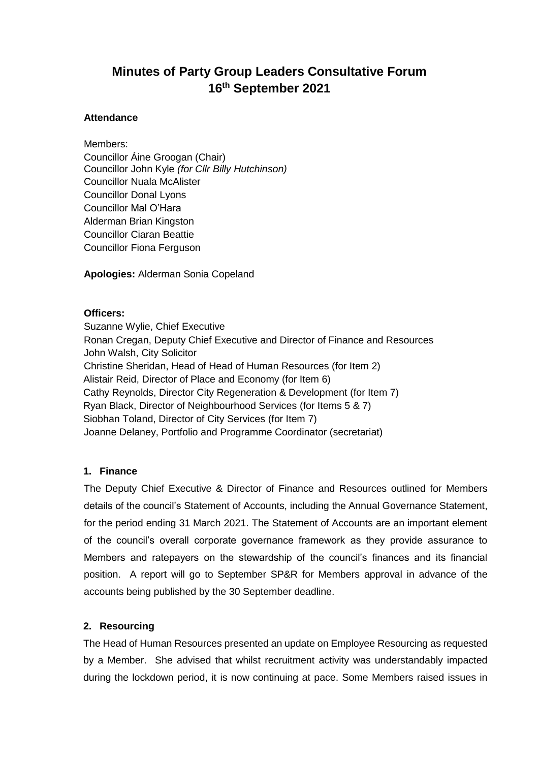# **Minutes of Party Group Leaders Consultative Forum 16 th September 2021**

#### **Attendance**

Members:

Councillor Áine Groogan (Chair) Councillor John Kyle *(for Cllr Billy Hutchinson)* Councillor Nuala McAlister Councillor Donal Lyons Councillor Mal O'Hara Alderman Brian Kingston Councillor Ciaran Beattie Councillor Fiona Ferguson

**Apologies:** Alderman Sonia Copeland

# **Officers:**

Suzanne Wylie, Chief Executive Ronan Cregan, Deputy Chief Executive and Director of Finance and Resources John Walsh, City Solicitor Christine Sheridan, Head of Head of Human Resources (for Item 2) Alistair Reid, Director of Place and Economy (for Item 6) Cathy Reynolds, Director City Regeneration & Development (for Item 7) Ryan Black, Director of Neighbourhood Services (for Items 5 & 7) Siobhan Toland, Director of City Services (for Item 7) Joanne Delaney, Portfolio and Programme Coordinator (secretariat)

## **1. Finance**

The Deputy Chief Executive & Director of Finance and Resources outlined for Members details of the council's Statement of Accounts, including the Annual Governance Statement, for the period ending 31 March 2021. The Statement of Accounts are an important element of the council's overall corporate governance framework as they provide assurance to Members and ratepayers on the stewardship of the council's finances and its financial position. A report will go to September SP&R for Members approval in advance of the accounts being published by the 30 September deadline.

## **2. Resourcing**

The Head of Human Resources presented an update on Employee Resourcing as requested by a Member. She advised that whilst recruitment activity was understandably impacted during the lockdown period, it is now continuing at pace. Some Members raised issues in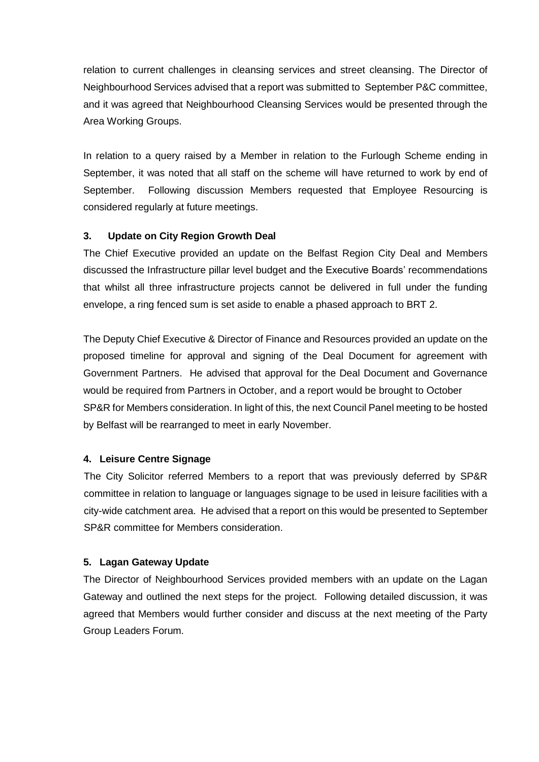relation to current challenges in cleansing services and street cleansing. The Director of Neighbourhood Services advised that a report was submitted to September P&C committee, and it was agreed that Neighbourhood Cleansing Services would be presented through the Area Working Groups.

In relation to a query raised by a Member in relation to the Furlough Scheme ending in September, it was noted that all staff on the scheme will have returned to work by end of September. Following discussion Members requested that Employee Resourcing is considered regularly at future meetings.

## **3. Update on City Region Growth Deal**

The Chief Executive provided an update on the Belfast Region City Deal and Members discussed the Infrastructure pillar level budget and the Executive Boards' recommendations that whilst all three infrastructure projects cannot be delivered in full under the funding envelope, a ring fenced sum is set aside to enable a phased approach to BRT 2.

The Deputy Chief Executive & Director of Finance and Resources provided an update on the proposed timeline for approval and signing of the Deal Document for agreement with Government Partners. He advised that approval for the Deal Document and Governance would be required from Partners in October, and a report would be brought to October SP&R for Members consideration. In light of this, the next Council Panel meeting to be hosted by Belfast will be rearranged to meet in early November.

#### **4. Leisure Centre Signage**

The City Solicitor referred Members to a report that was previously deferred by SP&R committee in relation to language or languages signage to be used in leisure facilities with a city-wide catchment area. He advised that a report on this would be presented to September SP&R committee for Members consideration.

## **5. Lagan Gateway Update**

The Director of Neighbourhood Services provided members with an update on the Lagan Gateway and outlined the next steps for the project. Following detailed discussion, it was agreed that Members would further consider and discuss at the next meeting of the Party Group Leaders Forum.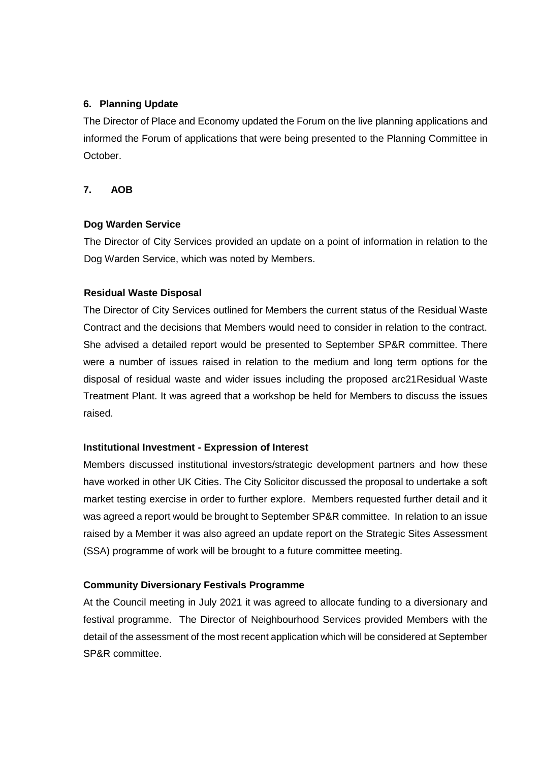## **6. Planning Update**

The Director of Place and Economy updated the Forum on the live planning applications and informed the Forum of applications that were being presented to the Planning Committee in October.

## **7. AOB**

## **Dog Warden Service**

The Director of City Services provided an update on a point of information in relation to the Dog Warden Service, which was noted by Members.

# **Residual Waste Disposal**

The Director of City Services outlined for Members the current status of the Residual Waste Contract and the decisions that Members would need to consider in relation to the contract. She advised a detailed report would be presented to September SP&R committee. There were a number of issues raised in relation to the medium and long term options for the disposal of residual waste and wider issues including the proposed arc21Residual Waste Treatment Plant. It was agreed that a workshop be held for Members to discuss the issues raised.

## **Institutional Investment - Expression of Interest**

Members discussed institutional investors/strategic development partners and how these have worked in other UK Cities. The City Solicitor discussed the proposal to undertake a soft market testing exercise in order to further explore. Members requested further detail and it was agreed a report would be brought to September SP&R committee. In relation to an issue raised by a Member it was also agreed an update report on the Strategic Sites Assessment (SSA) programme of work will be brought to a future committee meeting.

## **Community Diversionary Festivals Programme**

At the Council meeting in July 2021 it was agreed to allocate funding to a diversionary and festival programme. The Director of Neighbourhood Services provided Members with the detail of the assessment of the most recent application which will be considered at September SP&R committee.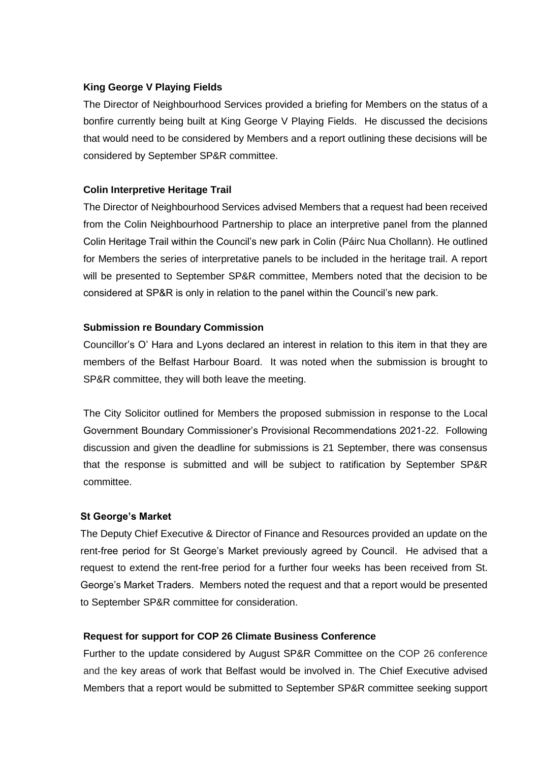#### **King George V Playing Fields**

The Director of Neighbourhood Services provided a briefing for Members on the status of a bonfire currently being built at King George V Playing Fields. He discussed the decisions that would need to be considered by Members and a report outlining these decisions will be considered by September SP&R committee.

#### **Colin Interpretive Heritage Trail**

The Director of Neighbourhood Services advised Members that a request had been received from the Colin Neighbourhood Partnership to place an interpretive panel from the planned Colin Heritage Trail within the Council's new park in Colin (Páirc Nua Chollann). He outlined for Members the series of interpretative panels to be included in the heritage trail. A report will be presented to September SP&R committee, Members noted that the decision to be considered at SP&R is only in relation to the panel within the Council's new park.

## **Submission re Boundary Commission**

Councillor's O' Hara and Lyons declared an interest in relation to this item in that they are members of the Belfast Harbour Board. It was noted when the submission is brought to SP&R committee, they will both leave the meeting.

The City Solicitor outlined for Members the proposed submission in response to the Local Government Boundary Commissioner's Provisional Recommendations 2021-22. Following discussion and given the deadline for submissions is 21 September, there was consensus that the response is submitted and will be subject to ratification by September SP&R committee.

#### **St George's Market**

The Deputy Chief Executive & Director of Finance and Resources provided an update on the rent-free period for St George's Market previously agreed by Council. He advised that a request to extend the rent-free period for a further four weeks has been received from St. George's Market Traders. Members noted the request and that a report would be presented to September SP&R committee for consideration.

#### **Request for support for COP 26 Climate Business Conference**

Further to the update considered by August SP&R Committee on the COP 26 conference and the key areas of work that Belfast would be involved in. The Chief Executive advised Members that a report would be submitted to September SP&R committee seeking support